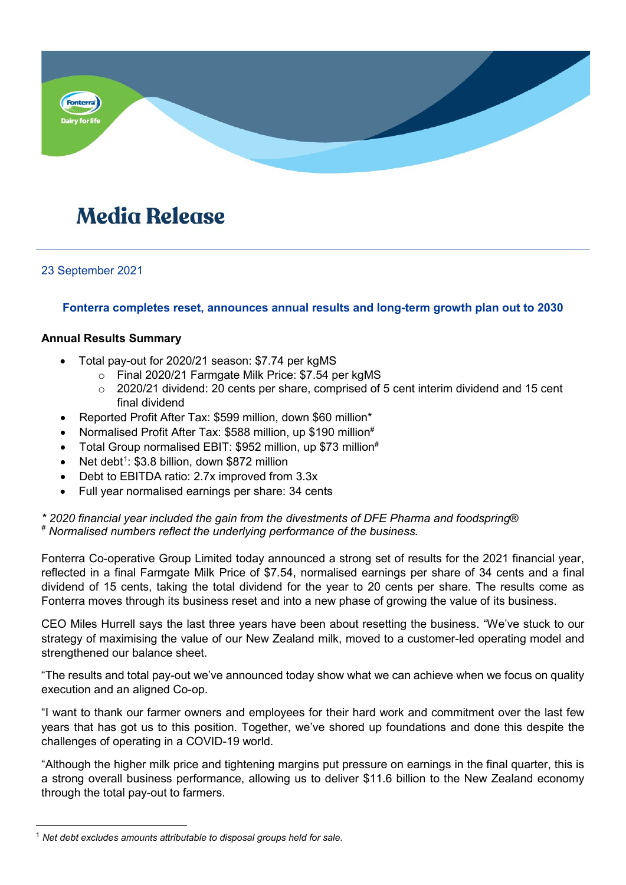

# **Media Release**

23 September 2021

# **Fonterra completes reset, announces annual results and long-term growth plan out to 2030**

## **Annual Results Summary**

- Total pay-out for 2020/21 season: \$7.74 per kgMS
	- o Final 2020/21 Farmgate Milk Price: \$7.54 per kgMS
	- $\degree$  2020/21 dividend: 20 cents per share, comprised of 5 cent interim dividend and 15 cent final dividend
- Reported Profit After Tax: \$599 million, down \$60 million\*
- Normalised Profit After Tax: \$588 million, up \$190 million<sup>#</sup>
- Total Group normalised EBIT: \$952 million, up \$73 million<sup>#</sup>
- Net debt<sup>1</sup>:  $$3.8$  billion, down \$872 million
- Debt to EBITDA ratio: 2.7x improved from 3.3x
- Full year normalised earnings per share: 34 cents

*\* 2020 financial year included the gain from the divestments of DFE Pharma and foodspring*® *# Normalised numbers reflect the underlying performance of the business.*

Fonterra Co-operative Group Limited today announced a strong set of results for the 2021 financial year, reflected in a final Farmgate Milk Price of \$7.54, normalised earnings per share of 34 cents and a final dividend of 15 cents, taking the total dividend for the year to 20 cents per share. The results come as Fonterra moves through its business reset and into a new phase of growing the value of its business.

CEO Miles Hurrell says the last three years have been about resetting the business. "We've stuck to our strategy of maximising the value of our New Zealand milk, moved to a customer-led operating model and strengthened our balance sheet.

"The results and total pay-out we've announced today show what we can achieve when we focus on quality execution and an aligned Co-op.

"I want to thank our farmer owners and employees for their hard work and commitment over the last few years that has got us to this position. Together, we've shored up foundations and done this despite the challenges of operating in a COVID-19 world.

"Although the higher milk price and tightening margins put pressure on earnings in the final quarter, this is a strong overall business performance, allowing us to deliver \$11.6 billion to the New Zealand economy through the total pay-out to farmers.

<span id="page-0-0"></span> <sup>1</sup> *Net debt excludes amounts attributable to disposal groups held for sale.*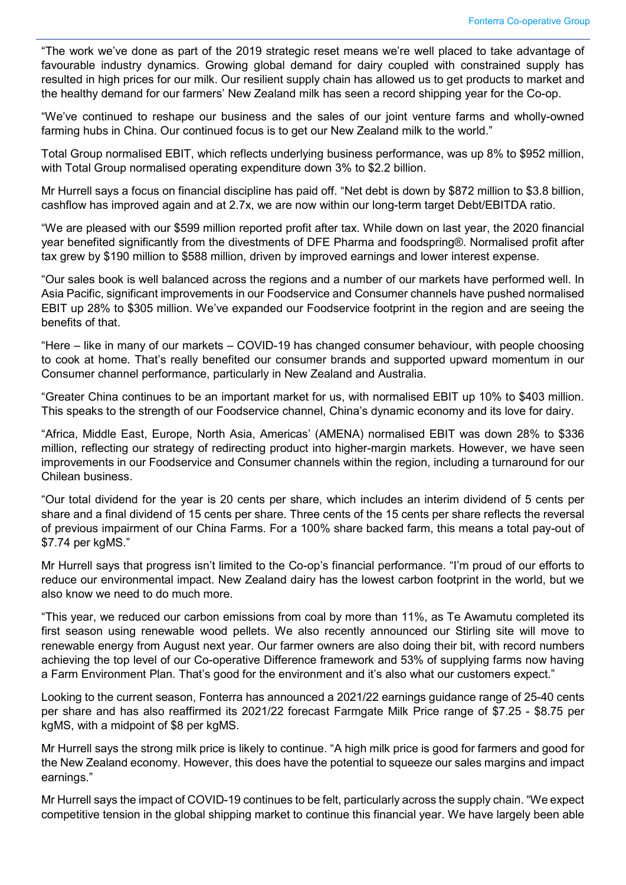"The work we've done as part of the 2019 strategic reset means we're well placed to take advantage of favourable industry dynamics. Growing global demand for dairy coupled with constrained supply has resulted in high prices for our milk. Our resilient supply chain has allowed us to get products to market and the healthy demand for our farmers' New Zealand milk has seen a record shipping year for the Co-op.

"We've continued to reshape our business and the sales of our joint venture farms and wholly-owned farming hubs in China. Our continued focus is to get our New Zealand milk to the world."

Total Group normalised EBIT, which reflects underlying business performance, was up 8% to \$952 million, with Total Group normalised operating expenditure down 3% to \$2.2 billion.

Mr Hurrell says a focus on financial discipline has paid off. "Net debt is down by \$872 million to \$3.8 billion, cashflow has improved again and at 2.7x, we are now within our long-term target Debt/EBITDA ratio.

"We are pleased with our \$599 million reported profit after tax. While down on last year, the 2020 financial year benefited significantly from the divestments of DFE Pharma and foodspring®. Normalised profit after tax grew by \$190 million to \$588 million, driven by improved earnings and lower interest expense.

"Our sales book is well balanced across the regions and a number of our markets have performed well. In Asia Pacific, significant improvements in our Foodservice and Consumer channels have pushed normalised EBIT up 28% to \$305 million. We've expanded our Foodservice footprint in the region and are seeing the benefits of that.

"Here – like in many of our markets – COVID-19 has changed consumer behaviour, with people choosing to cook at home. That's really benefited our consumer brands and supported upward momentum in our Consumer channel performance, particularly in New Zealand and Australia.

"Greater China continues to be an important market for us, with normalised EBIT up 10% to \$403 million. This speaks to the strength of our Foodservice channel, China's dynamic economy and its love for dairy.

"Africa, Middle East, Europe, North Asia, Americas' (AMENA) normalised EBIT was down 28% to \$336 million, reflecting our strategy of redirecting product into higher-margin markets. However, we have seen improvements in our Foodservice and Consumer channels within the region, including a turnaround for our Chilean business.

"Our total dividend for the year is 20 cents per share, which includes an interim dividend of 5 cents per share and a final dividend of 15 cents per share. Three cents of the 15 cents per share reflects the reversal of previous impairment of our China Farms. For a 100% share backed farm, this means a total pay-out of \$7.74 per kgMS."

Mr Hurrell says that progress isn't limited to the Co-op's financial performance. "I'm proud of our efforts to reduce our environmental impact. New Zealand dairy has the lowest carbon footprint in the world, but we also know we need to do much more.

"This year, we reduced our carbon emissions from coal by more than 11%, as Te Awamutu completed its first season using renewable wood pellets. We also recently announced our Stirling site will move to renewable energy from August next year. Our farmer owners are also doing their bit, with record numbers achieving the top level of our Co-operative Difference framework and 53% of supplying farms now having a Farm Environment Plan. That's good for the environment and it's also what our customers expect."

Looking to the current season, Fonterra has announced a 2021/22 earnings guidance range of 25-40 cents per share and has also reaffirmed its 2021/22 forecast Farmgate Milk Price range of \$7.25 - \$8.75 per kgMS, with a midpoint of \$8 per kgMS.

Mr Hurrell says the strong milk price is likely to continue. "A high milk price is good for farmers and good for the New Zealand economy. However, this does have the potential to squeeze our sales margins and impact earnings."

Mr Hurrell says the impact of COVID-19 continues to be felt, particularly across the supply chain. "We expect competitive tension in the global shipping market to continue this financial year. We have largely been able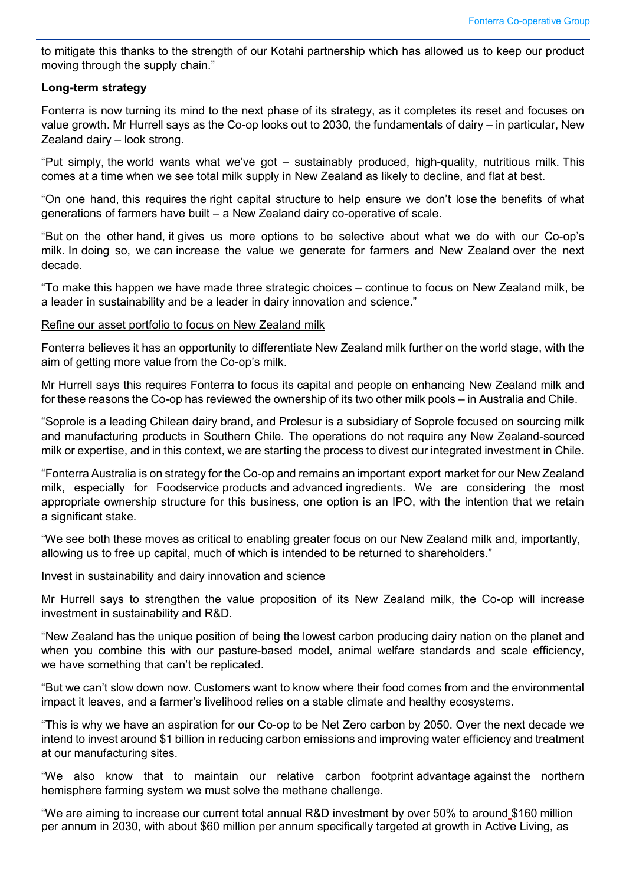to mitigate this thanks to the strength of our Kotahi partnership which has allowed us to keep our product moving through the supply chain."

## **Long-term strategy**

Fonterra is now turning its mind to the next phase of its strategy, as it completes its reset and focuses on value growth. Mr Hurrell says as the Co-op looks out to 2030, the fundamentals of dairy – in particular, New Zealand dairy – look strong.

"Put simply, the world wants what we've got – sustainably produced, high-quality, nutritious milk. This comes at a time when we see total milk supply in New Zealand as likely to decline, and flat at best.

"On one hand, this requires the right capital structure to help ensure we don't lose the benefits of what generations of farmers have built – a New Zealand dairy co-operative of scale.

"But on the other hand, it gives us more options to be selective about what we do with our Co-op's milk. In doing so, we can increase the value we generate for farmers and New Zealand over the next decade.

"To make this happen we have made three strategic choices – continue to focus on New Zealand milk, be a leader in sustainability and be a leader in dairy innovation and science."

#### Refine our asset portfolio to focus on New Zealand milk

Fonterra believes it has an opportunity to differentiate New Zealand milk further on the world stage, with the aim of getting more value from the Co-op's milk.

Mr Hurrell says this requires Fonterra to focus its capital and people on enhancing New Zealand milk and for these reasons the Co-op has reviewed the ownership of its two other milk pools – in Australia and Chile.

"Soprole is a leading Chilean dairy brand, and Prolesur is a subsidiary of Soprole focused on sourcing milk and manufacturing products in Southern Chile*.* The operations do not require any New Zealand-sourced milk or expertise, and in this context, we are starting the process to divest our integrated investment in Chile.

"Fonterra Australia is on strategy for the Co-op and remains an important export market for our New Zealand milk, especially for Foodservice products and advanced ingredients. We are considering the most appropriate ownership structure for this business, one option is an IPO, with the intention that we retain a significant stake.

"We see both these moves as critical to enabling greater focus on our New Zealand milk and, importantly, allowing us to free up capital, much of which is intended to be returned to shareholders."

## Invest in sustainability and dairy innovation and science

Mr Hurrell says to strengthen the value proposition of its New Zealand milk, the Co-op will increase investment in sustainability and R&D.

"New Zealand has the unique position of being the lowest carbon producing dairy nation on the planet and when you combine this with our pasture-based model, animal welfare standards and scale efficiency, we have something that can't be replicated.

"But we can't slow down now. Customers want to know where their food comes from and the environmental impact it leaves, and a farmer's livelihood relies on a stable climate and healthy ecosystems.

"This is why we have an aspiration for our Co-op to be Net Zero carbon by 2050. Over the next decade we intend to invest around \$1 billion in reducing carbon emissions and improving water efficiency and treatment at our manufacturing sites.

"We also know that to maintain our relative carbon footprint advantage against the northern hemisphere farming system we must solve the methane challenge.

"We are aiming to increase our current total annual R&D investment by over 50% to around \$160 million per annum in 2030, with about \$60 million per annum specifically targeted at growth in Active Living, as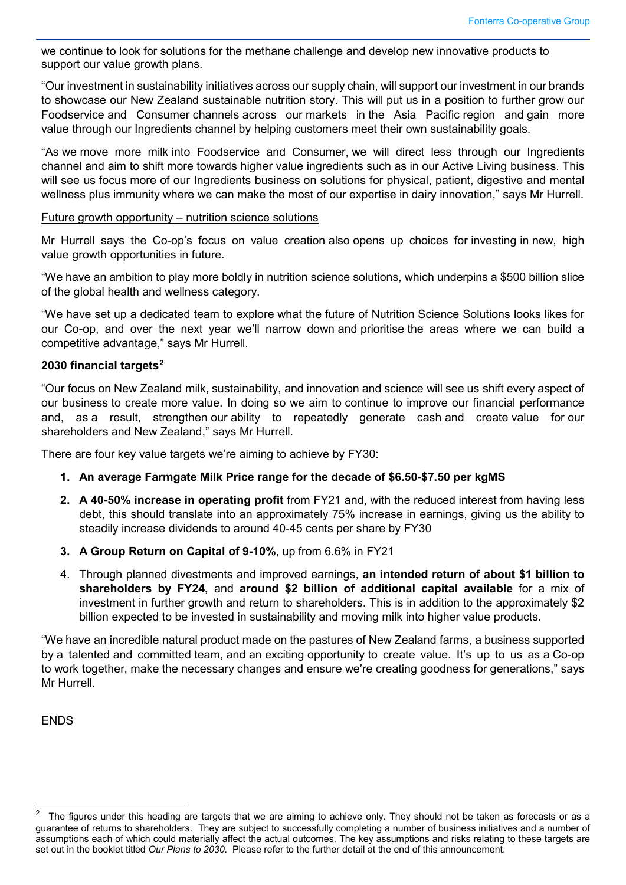we continue to look for solutions for the methane challenge and develop new innovative products to support our value growth plans.

"Our investment in sustainability initiatives across our supply chain, will support our investment in our brands to showcase our New Zealand sustainable nutrition story. This will put us in a position to further grow our Foodservice and Consumer channels across our markets in the Asia Pacific region and gain more value through our Ingredients channel by helping customers meet their own sustainability goals.

"As we move more milk into Foodservice and Consumer, we will direct less through our Ingredients channel and aim to shift more towards higher value ingredients such as in our Active Living business. This will see us focus more of our Ingredients business on solutions for physical, patient, digestive and mental wellness plus immunity where we can make the most of our expertise in dairy innovation," says Mr Hurrell.

#### Future growth opportunity – nutrition science solutions

Mr Hurrell says the Co-op's focus on value creation also opens up choices for investing in new, high value growth opportunities in future.

"We have an ambition to play more boldly in nutrition science solutions, which underpins a \$500 billion slice of the global health and wellness category.

"We have set up a dedicated team to explore what the future of Nutrition Science Solutions looks likes for our Co-op, and over the next year we'll narrow down and prioritise the areas where we can build a competitive advantage," says Mr Hurrell.

## **2030 financial targets[2](#page-3-0)**

"Our focus on New Zealand milk, sustainability, and innovation and science will see us shift every aspect of our business to create more value. In doing so we aim to continue to improve our financial performance and, as a result, strengthen our ability to repeatedly generate cash and create value for our shareholders and New Zealand," says Mr Hurrell.

There are four key value targets we're aiming to achieve by FY30:

- **1. An average Farmgate Milk Price range for the decade of \$6.50-\$7.50 per kgMS**
- **2. A 40-50% increase in operating profit** from FY21 and, with the reduced interest from having less debt, this should translate into an approximately 75% increase in earnings, giving us the ability to steadily increase dividends to around 40-45 cents per share by FY30
- **3. A Group Return on Capital of 9-10%**, up from 6.6% in FY21
- 4. Through planned divestments and improved earnings, **an intended return of about \$1 billion to shareholders by FY24,** and **around \$2 billion of additional capital available** for a mix of investment in further growth and return to shareholders. This is in addition to the approximately \$2 billion expected to be invested in sustainability and moving milk into higher value products.

"We have an incredible natural product made on the pastures of New Zealand farms, a business supported by a talented and committed team, and an exciting opportunity to create value. It's up to us as a Co-op to work together, make the necessary changes and ensure we're creating goodness for generations," says Mr Hurrell.

**ENDS** 

<span id="page-3-0"></span> <sup>2</sup> The figures under this heading are targets that we are aiming to achieve only. They should not be taken as forecasts or as a guarantee of returns to shareholders. They are subject to successfully completing a number of business initiatives and a number of assumptions each of which could materially affect the actual outcomes. The key assumptions and risks relating to these targets are set out in the booklet titled *Our Plans to 2030*. Please refer to the further detail at the end of this announcement.